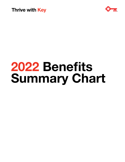



# **2022 Benefits Summary Chart**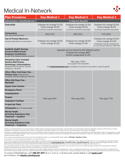## Medical In-Network



| <b>Plan Provisions</b>                                                                                                                                    | <b>Key Medical 1</b>                                                                                                                                            | <b>Key Medical 2</b>                                                                            | <b>Key Medical 3</b>                                                                                                                         |
|-----------------------------------------------------------------------------------------------------------------------------------------------------------|-----------------------------------------------------------------------------------------------------------------------------------------------------------------|-------------------------------------------------------------------------------------------------|----------------------------------------------------------------------------------------------------------------------------------------------|
| Administrator: UnitedHealthcare                                                                                                                           | <b>In-Network Benefits</b>                                                                                                                                      |                                                                                                 |                                                                                                                                              |
| <b>Deductible</b>                                                                                                                                         | Employee-only coverage: \$1,500<br>Family coverage: \$3,000<br>(combined medical/Rx deductible)                                                                 | Employee-only coverage: \$1,500<br>Family coverage: \$3,000<br>(combined medical/Rx deductible) | Employee-only coverage: \$3,000<br>Family coverage: \$6,000<br>(combined medical/Rx deductible)                                              |
| Coinsurance<br>(Plan pays/employee pays) <sup>1</sup>                                                                                                     | 90%/10%1                                                                                                                                                        | 80%/20%1                                                                                        | 70%/30%1                                                                                                                                     |
| <b>Out-of-Pocket Maximum</b><br>(includes deductible and coinsurance)                                                                                     | Employee-only coverage: \$2,000<br>Family coverage: \$4,000                                                                                                     | Employee-only coverage: \$3,500<br>Family coverage: \$7,000                                     | Employee-only coverage: \$5,000<br>Family coverage: \$10,000<br>(Individuals in Family coverage have<br>an out-of-pocket maximum of \$8,700) |
| <b>KeyBank Health Savings</b><br><b>Account (HSA) Annual</b><br><b>Employer Contribution</b><br>(as part of the Wellness Incentive program) <sup>2</sup>  | Applicable only if you earned the 2022 Wellness Incentive<br>Employee-only coverage: \$600 <sup>2</sup><br>All other coverage levels: \$1,200 <sup>2</sup>      |                                                                                                 |                                                                                                                                              |
| <b>Preventive Care: Includes</b><br>Routine Well Exams,<br>Screenings, Immunizations<br>(General/Family Practitioner, Internist,<br>Pediatrician, OB/GYN) | Plan pays 100% <sup>3</sup><br>(not subject to the deductible)<br>Visit <b>uhcpreventivecare.com</b> for guidelines of preventive care based on age and gender. |                                                                                                 |                                                                                                                                              |
| Other Office Visit Exam Fee -<br><b>Primary Care (General/Family</b><br>Practitioner, Internist, Pediatrician, OB/GYN)                                    |                                                                                                                                                                 | Plan pays 80% <sup>1</sup>                                                                      | Plan pays 70% <sup>1</sup>                                                                                                                   |
| Office Visit Exam Fee -<br><b>Specialist</b>                                                                                                              |                                                                                                                                                                 |                                                                                                 |                                                                                                                                              |
| <b>Urgent Care Centers</b>                                                                                                                                |                                                                                                                                                                 |                                                                                                 |                                                                                                                                              |
| <b>Emergency Room</b>                                                                                                                                     |                                                                                                                                                                 |                                                                                                 |                                                                                                                                              |
| Hospitalization                                                                                                                                           |                                                                                                                                                                 |                                                                                                 |                                                                                                                                              |
| <b>Surgery</b>                                                                                                                                            | Plan pays 90% <sup>1</sup>                                                                                                                                      |                                                                                                 |                                                                                                                                              |
| <b>Outpatient Facilities</b>                                                                                                                              |                                                                                                                                                                 |                                                                                                 |                                                                                                                                              |
| X-rays/Lab Tests                                                                                                                                          |                                                                                                                                                                 |                                                                                                 |                                                                                                                                              |
| <b>Chiropractic</b> (up to 10 visits annually)                                                                                                            |                                                                                                                                                                 |                                                                                                 |                                                                                                                                              |
| <b>Mental Health</b><br>(Including Substance Use)<br>Treatment - Inpatient                                                                                |                                                                                                                                                                 |                                                                                                 |                                                                                                                                              |
| <b>Mental Health</b><br>(Including Substance Use)<br><b>Treatment - Outpatient</b>                                                                        |                                                                                                                                                                 |                                                                                                 |                                                                                                                                              |

1 Subject to annual deductible and out-of-pocket maximum. Select preventive medications bypass the deductible. This means that you have the benefit of paying the applicable coinsurance without having to meet the deductible first. Although the coinsurance will not apply to the deductible, it does apply toward the out-of-pocket maximum. See the Prescription Drug Chart for more details.

<sup>2</sup>In addition to completing the required health actions to earn the Wellness Incentive, the employee and/or covered spouse/partner must continue to be enrolled in the Key Medical Plan for 2022. If the employee is no longe active at the time of the HSA contribution, does not have an HSA, or fails to open one before or during 2022, the employee may forfeit the Key contribution for 2022. If you are age 65 or older, your Wellness Incentive will be paid as a per-pay premium credit.

If you cover your spouse/partner and only one of you earns the Wellness Incentive, you will receive \$600. Review details at **HR Online > Benefits to Thrive**.

3 Is not subject to nor counts toward the deductible or out-of-pocket maximum.

The information contained in this Benefit Summary Chart provides a very general overview of the KeyCorp Medical Plan coverages that will be in effect for the 2022 Plan year. For more specific Plan coverage information, please review the Medical Plan's Summary Plan Description (SPD), which can be found at **hronline.keybank.com > Benefits to Thrive > Benefits References**. Please be aware that the Medical Plan may not cover certain services and procedures that you wish to have performed. While these services will not be paid for by the Plan, you must always determine the medical care that is best for you.

If you use network providers, your Plan coinsurance costs are based on UnitedHealthcare's negotiated network fees. Plan coinsurance costs for out-of-network providers are based on the reasonable and customary charges for the particular service received. The above chart reflects only in-network coinsurance costs.

This information serves to update the medical coverage that is provided to eligible participants under the Key Medical Plan. If there is a disagreement between this overview and the Plan documents, including the Plan's<br>SPD

To contact UnitedHealthcare, call **1-866-201-0017** (8 a.m. to 8 p.m. in all time zones, except Alaska) or visit **myuhc.com®** (pre-members, visit **whyuhc.com/keycorp**).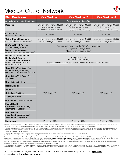### Medical Out-of-Network



| <b>Plan Provisions</b>                                                                                                                                    | <b>Key Medical 1</b>                                                                                                                                            | <b>Key Medical 2</b>                                                                            | <b>Key Medical 3</b>                                                                             |
|-----------------------------------------------------------------------------------------------------------------------------------------------------------|-----------------------------------------------------------------------------------------------------------------------------------------------------------------|-------------------------------------------------------------------------------------------------|--------------------------------------------------------------------------------------------------|
| Administrator: UnitedHealthcare                                                                                                                           | <b>Out-of-Network Benefits</b>                                                                                                                                  |                                                                                                 |                                                                                                  |
| <b>Deductible</b>                                                                                                                                         | Employee-only coverage: \$3,000<br>Family coverage: \$6,000<br>(combined medical/Rx deductible)                                                                 | Employee-only coverage: \$3,000<br>Family coverage: \$6,000<br>(combined medical/Rx deductible) | Employee-only coverage: \$6,000<br>Family coverage: \$12,000<br>(combined medical/Rx deductible) |
| Coinsurance<br>(Plan pays/employee pays) <sup>1</sup>                                                                                                     | 60%/40%1                                                                                                                                                        | 60%/40%1                                                                                        | 50%/50%1                                                                                         |
| <b>Out-of-Pocket Maximum</b><br>(includes deductible and coinsurance))                                                                                    | Employee-only coverage: \$6,000<br>Family coverage: \$12,000                                                                                                    | Employee-only coverage: \$7,000<br>Family coverage: \$14,000                                    | Employee-only coverage: \$10,000<br>Family coverage: \$20,000                                    |
| <b>KeyBank Health Savings</b><br><b>Account (HSA) Annual</b><br><b>Employer Contribution</b><br>(as part of the Wellness Incentive program) <sup>2</sup>  | Applicable only if you earned the 2022 Wellness Incentive<br>Employee-only coverage: \$600 <sup>2</sup><br>All other coverage levels: \$1,200 <sup>2</sup>      |                                                                                                 |                                                                                                  |
| <b>Preventive Care: Includes</b><br>Routine Well Exams,<br>Screenings, Immunizations<br>(General/Family Practitioner, Internist,<br>Pediatrician, OB/GYN) | Plan pays 100% <sup>3</sup><br>(not subject to the deductible)<br>Visit <b>uncpreventivecare.com</b> for quidelines of preventive care based on age and gender. |                                                                                                 |                                                                                                  |
| Other Office Visit Exam Fee -<br><b>Primary Care (General/Family</b><br>Practitioner, Internist, Pediatrician, OB/GYN)                                    |                                                                                                                                                                 |                                                                                                 |                                                                                                  |
| Other Office Visit Exam Fee -<br><b>Specialist</b>                                                                                                        |                                                                                                                                                                 |                                                                                                 |                                                                                                  |
| <b>Urgent Care Centers</b>                                                                                                                                |                                                                                                                                                                 |                                                                                                 |                                                                                                  |
| Hospitalization                                                                                                                                           |                                                                                                                                                                 |                                                                                                 |                                                                                                  |
| <b>Surgery</b>                                                                                                                                            |                                                                                                                                                                 |                                                                                                 |                                                                                                  |
| <b>Outpatient Facilities</b>                                                                                                                              | Plan pays 60% <sup>1</sup>                                                                                                                                      | Plan pays 60% <sup>1</sup>                                                                      | Plan pays 50% <sup>1</sup>                                                                       |
| X-rays/Lab Tests                                                                                                                                          |                                                                                                                                                                 |                                                                                                 |                                                                                                  |
| <b>Chiropractic</b> (up to 10 visits annually)                                                                                                            |                                                                                                                                                                 |                                                                                                 |                                                                                                  |
| <b>Mental Health</b><br>(Including Substance Use)<br>Treatment - Inpatient                                                                                |                                                                                                                                                                 |                                                                                                 |                                                                                                  |
| <b>Mental Health</b><br>(Including Substance Use)<br><b>Treatment - Outpatient</b>                                                                        |                                                                                                                                                                 |                                                                                                 |                                                                                                  |
| Emergency                                                                                                                                                 | Plan pays 90% <sup>1</sup>                                                                                                                                      | Plan pays 80% <sup>1</sup>                                                                      | Plan pays 70% <sup>1</sup>                                                                       |

1 Subject to annual deductible and out-of-pocket maximum. Select preventive medications bypass the deductible. This means that you have the benefit of paying the applicable coinsurance without having to meet the deductible first. Although the coinsurance will not apply to the deductible, it does apply toward the out-of-pocket maximum. See the Prescription Drug Chart for more details.

<sup>2</sup>In addition to completing the required health actions to earn the Wellness Incentive, the employee and/or covered spouse/partner must continue to be enrolled in the Key Medical Plan for 2022. If the employee is no longer active at the time of the HSA contribution, does not have an HSA, or fails to open one before or during 2021, the employee may forfeit the Key contribution for 2022. If you are age 65 or older, your Wellness Incentive will be paid as a per-pay premium credit.

If you cover your spouse/partner and only one of you earns the Wellness Incentive, you will receive \$600. Review details at **HR Online > Benefits to Thrive**.

<sup>3</sup>ls not subject to nor counts toward the deductible or out-of-pocket maximum.

The information contained in this Benefit Summary Chart provides a very general overview of the KeyCorp Medical Plan coverages that will be in effect for the 2022 Plan year. For more specific Plan coverage information, please review the Medical Plan's Summary Plan Description (SPD), which can be found at **hronline.keybank.com > Benefits to Thrive > Benefits References**. Please be aware that the Medical Plan may not cover certain services and procedures that you wish to have performed. While these services will not be paid for by the Plan, you must always determine the medical care that is best for you.

If you use network providers, your Plan coinsurance costs are based on UnitedHealthcare's negotiated network fees. Plan coinsurance costs for out-of-network providers are based on the reasonable and customary charges for the particular service received. The above chart reflects only in-network coinsurance costs.

This information serves to update the medical coverage that is provided to eligible participants under the Key Medical Plan. If there is a disagreement between this overview and the Plan documents, including the Plan's SPD the Plan documents always control. Also, please understand that Key reserves the right to amend or modify the Plan, including its prescription drug coverage, and to terminate the Plan at any time and for any reason.

To contact UnitedHealthcare, call **1-866-201-0017** (8 a.m. to 8 p.m. in all time zones, except Alaska) or visit **myuhc.com** (pre-members, visit **whyuhc.com/keycorp**).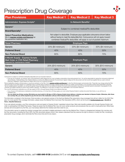### Prescription Drug Coverage

| <b>Plan Provisions</b>                                                                                             | <b>Key Medical 1</b>                                                                                                                                                                                                                  | <b>Key Medical 2</b> | <b>Key Medical 3</b> |
|--------------------------------------------------------------------------------------------------------------------|---------------------------------------------------------------------------------------------------------------------------------------------------------------------------------------------------------------------------------------|----------------------|----------------------|
| Administrator: Express Scripts <sup>®</sup>                                                                        | In-Network Benefits <sup>1</sup>                                                                                                                                                                                                      |                      |                      |
| Generic <sup>2</sup>                                                                                               |                                                                                                                                                                                                                                       |                      |                      |
| Brand/Specialty <sup>2</sup>                                                                                       | Subject to combined medical/Rx deductible                                                                                                                                                                                             |                      |                      |
| <b>Select Preventive Medications</b><br>(Go to express-scripts.com/keycorp for<br>the preventive medication list.) | Not subject to deductible. Employee pays applicable coinsurance shown below<br>without having to meet the deductible first. Coinsurance will not apply toward<br>combined medical/Rx deductible; will apply to out-of-pocket maximum. |                      |                      |
| <b>Retail Pharmacy</b>                                                                                             | <b>Employee Pays</b>                                                                                                                                                                                                                  |                      |                      |
| Generic                                                                                                            | 20% (\$4 minimum)                                                                                                                                                                                                                     | 20% (\$4 minimum)    | 30% (\$4 minimum)    |
| <b>Preferred Brand</b>                                                                                             | 40%                                                                                                                                                                                                                                   | 40%                  | 50%                  |
| Non-Preferred Brand                                                                                                | 60%                                                                                                                                                                                                                                   | 60%                  | 70%                  |
| 3-Month Supply - Express Scripts<br>Mail Order or CVS Retail Pharmacy<br>(required for maintenance meds) $3$       | <b>Employee Pays</b>                                                                                                                                                                                                                  |                      |                      |
| Generic                                                                                                            | 20% (\$10 minimum)                                                                                                                                                                                                                    | 20% (\$10 minimum)   | 30% (\$10 minimum)   |
| <b>Preferred Brand</b>                                                                                             | 40%                                                                                                                                                                                                                                   | 40%                  | 50%                  |
| <b>Non-Preferred Brand</b>                                                                                         | 60%                                                                                                                                                                                                                                   | 60%                  | 70%                  |

1 Coinsurance is subject to combined medical/Rx deductible and out-of-pocket maximum.

— If you go out of network, you will pay 100% of the pharmacy's retail charge and you must complete a prescription drug reimbursement form. You will be responsible for paying the coinsurance referenced above (Generic, Preferred Brand, Non-Preferred Brand), as well as the difference between the pharmacy's regular charge and the discounted cost that would have applied had you used a network pharmacy. Walgreens, Duane Reade and Happy Harry's are out-of-network providers.

<sup>2</sup>Some medications require a clinical review or may be an exclusion on the Plan. Go to **express-scripts.com/keycorp** to view the clinical program and exclusion lists. These lists may change during the Plan year and if that occurs (with respect to a medication that is currently being covered by the Plan), Express Scripts will send you written communication. If you purchase a brand-name prescription drug that has an available generic equivalent, you will pay the generic drug cost share plus the cost difference between the brand-name prescription drug and the equivalent generic prescription drug (applies to both<br>physician and pa

<sup>3</sup>You must fill maintenance medications as a 90-day supply at CVS or through Express Scripts home delivery pharmacy.

— If you choose to fill maintenance medications at another pharmacy, or for less than a 90-day supply, you must contact Express Scripts to actively document that choice, or you will incur an increased cost.

— *You can obtain two 30-day courtesy fills before you must switch to 90 days at CVS or Express Scripts home delivery, or declare your decision to Express Scripts. Otherwise, after those two courtesy fills, you will be required to pay the full cost of the medication until you inform Express Scripts of your choice.*

The information contained in this Summary Chart provides a very general overview of the KeyCorp Medical Plan prescription drug coverages that will be in effect for the 2022 Plan year. For more specific Plan coverage information, please review the Medical Plan's Summary Plan Description (SPD), which can be found at **hronline.keybank.com > Benefits to Thrive > Benefits References**.

If you use network providers, your Plan coinsurance costs are based on Express Scripts' negotiated network fees. Mail-order benefits available only through Express Scripts mail order or participating CVS Retail Pharmacies. Please be aware that the Medical Plan may not cover certain products and procedures that you wish to have performed. While these services will not be paid for by the Plan, you must always determine the medical care that is best for you.

This information serves to update the medical coverage that is provided to eligible participants under the Key Medical Plan. If there is a disagreement between this overview and the Plan documents, including the Plan's SPD, the Plan documents always control. Also, please understand that Key reserves the right to amend or modify the Plan, including its prescription drug coverage, and to terminate the Plan at any time and for any reason.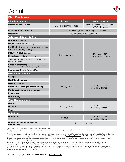#### Dental



| <b>Plan Provisions</b>                                                                                   |                                                      |                                                    |
|----------------------------------------------------------------------------------------------------------|------------------------------------------------------|----------------------------------------------------|
| Administrator: Cigna <sup>®</sup>                                                                        | <b>In-Network</b>                                    | <b>Out-of-Network</b>                              |
| <b>Reimbursement Levels</b>                                                                              | Based on contracted fees                             | Based on Reasonable & Customary<br>(R&C) allowance |
| <b>Maximum Annual Benefit</b>                                                                            | \$1,500 per person (all services) except orthodontia |                                                    |
| <b>Deductible</b>                                                                                        | \$50 per person/\$100 per family                     |                                                    |
| <b>Wellness and Diagnostic Care</b>                                                                      |                                                      |                                                    |
| <b>Oral Exams</b> (2 per year)                                                                           |                                                      |                                                    |
| Routine Cleanings (2 per year)                                                                           |                                                      | Plan pays 100%<br>of the R&C allowance             |
| Full Mouth X-rays (1 complete set every 3 years) or<br>Panoramic X-ray (1 every 3 years)                 |                                                      |                                                    |
| Bitewing X-rays (2 per year)                                                                             |                                                      |                                                    |
| Fluoride Application (2 per year under age 19)                                                           | Plan pays 100%                                       |                                                    |
| <b>Sealants</b> (limited to posterior tooth, 1 treatment per<br>tooth every 3 years)                     |                                                      |                                                    |
| <b>Space Maintainers (limited to non-orthodontic</b><br>treatment; 1 per tooth, per lifetime, to age 19) |                                                      |                                                    |
| <b>Emergency Care to Relieve Pain</b>                                                                    |                                                      |                                                    |
| <b>Basic Restorative Care<sup>1</sup></b>                                                                |                                                      |                                                    |
| Fillings <sup>2</sup>                                                                                    |                                                      |                                                    |
| <b>Root Canal Therapy</b>                                                                                |                                                      |                                                    |
| <b>Osseous Surgery</b>                                                                                   |                                                      |                                                    |
| <b>Periodontal Scaling and Root Planing</b>                                                              | Plan pays 80% <sup>3</sup>                           | Plan pays 80%<br>of the R&C allowance <sup>3</sup> |
| <b>Denture Adjustments and Repairs</b>                                                                   |                                                      |                                                    |
| <b>Extractions</b>                                                                                       |                                                      |                                                    |
| <b>Oral Surgery</b>                                                                                      |                                                      |                                                    |
| Major Restorative Care <sup>1</sup>                                                                      |                                                      |                                                    |
| Crowns                                                                                                   |                                                      |                                                    |
| <b>Dentures</b>                                                                                          | Plan pays 50% <sup>3</sup>                           | Plan pays 50%<br>of the R&C allowance <sup>3</sup> |
| <b>Bridges</b>                                                                                           |                                                      |                                                    |
| Orthodontia <sup>1</sup>                                                                                 |                                                      |                                                    |
| Orthodontia                                                                                              | Plan pays 50% <sup>3</sup>                           | Plan pays 50%<br>of the R&C allowance <sup>3</sup> |
| Orthodontia Lifetime Maximum<br>Paid by Plan                                                             | $$1,500$ per person <sup>3</sup>                     |                                                    |

1 Out-of-pocket costs may be lower if you see a network provider for these services.

2 Amalgam (silver) or composite (white) fillings covered based on type of tooth and the alternative treatment provision. See Summary Plan Description (SPD) for details. 3 Subject to annual deductible.

The information contained in this Summary Chart provides a very general overview of the KeyCorp Dental Plan coverages that will be in effect for the 2022 Plan year. For more specific Plan coverage information, please review the Dental Plan's SPD, which can be found at **hronline.keybank.com > Benefits to Thrive > Benefits References**.

If you use network providers, your Plan coinsurance costs are based on Cigna's negotiated network fees. Plan coinsurance costs for out-of-network providers are based on the reasonable and customary charges for the particular service received.

Please be aware that the Dental Plan may not cover certain services and procedures you wish to have performed. While these services will not be paid for by the Plan, you must always determine the dental care that is best for you. Pre-treatment review is suggested when you are considering dental work in excess of \$200.

This information serves to update the dental coverage that is provided to eligible participants under the Dental Plan. If there is a disagreement between this overview and the Plan documents, including the Plan's SPD, the Plan documents always control. Also, please understand that Key reserves the right to amend or modify the Plan and to terminate the Plan at any time and for any reason.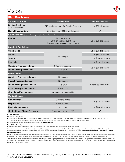## Vision



| <b>Plan Provisions</b>                                                        |                                                                                      |                             |  |
|-------------------------------------------------------------------------------|--------------------------------------------------------------------------------------|-----------------------------|--|
| <b>Administrator: VSP</b>                                                     | <b>VSP Network</b>                                                                   | Out-of-Network <sup>2</sup> |  |
| <b>Routine Eye Exam</b><br>(1 per calendar year)                              | \$10 employee copay (\$0 Premier Providers)                                          | Up to \$55 allowance        |  |
| <b>Retinal Imaging Benefit</b>                                                | Up to \$39 copay (\$0 Premier Providers)                                             | <b>NA</b>                   |  |
| Vision Hardware (1 per calendar year: either frames/lenses OR contact lenses) |                                                                                      |                             |  |
| <b>Frames</b>                                                                 | \$150 allowance;<br>20% off balance over \$150<br>\$200 allowance on Featured Brands | Up to \$70 allowance        |  |
| <b>Standard Plastic Lenses</b>                                                |                                                                                      |                             |  |
| <b>Single Vision</b>                                                          |                                                                                      | Up to \$70 allowance        |  |
| <b>Bifocal</b>                                                                |                                                                                      | Up to \$80 allowance        |  |
| <b>Trifocal</b>                                                               | No charge                                                                            | Up to \$100 allowance       |  |
| Lenticular                                                                    |                                                                                      | Up to \$110 allowance       |  |
| <b>Standard Progressive Lens</b>                                              | \$0 employee copay                                                                   |                             |  |
| <b>Premium Progressive Lens</b>                                               | \$95-\$105                                                                           | Up to \$80 allowance        |  |
| <b>Lens Options</b>                                                           |                                                                                      |                             |  |
| <b>Standard Progressive Lenses</b>                                            | No charge                                                                            | Employee pays 100%          |  |
| <b>Impact-Resistant Lenses</b>                                                | No charge                                                                            |                             |  |
| <b>Premium Progressive Lenses</b>                                             | \$95-\$105                                                                           |                             |  |
| <b>Custom Progressive Lenses</b>                                              | \$150-\$175                                                                          |                             |  |
| <b>Other Lens Enhancements</b>                                                | Average savings of 30%                                                               |                             |  |
| <b>Contact Lenses</b>                                                         |                                                                                      |                             |  |
| Conventional                                                                  | \$150 allowance                                                                      | Up to \$115 allowance       |  |
| <b>Disposable</b>                                                             | \$150 allowance                                                                      |                             |  |
| <b>Medically Necessary</b>                                                    | No copay                                                                             | Up to \$200 allowance       |  |
| <b>Contact Lens Fit and Follow up</b>                                         | Employee pays up to \$40                                                             | <b>NA</b>                   |  |

#### **Extra Savings:**

#### Glasses and Sunglasses

• 40% savings on additional pairs of prescription glasses from same VSP Network provider who performed your WellVision exam within 12 months of your last exam.

• 20% savings on unlimited additional pairs of prescription glasses and/or non-prescription sunglasses from any VSP network doctor.

For information about featured frame brands, visit **vsp.com/framebrands.**

#### Laser Vision Correction

• Average 15% off the regular price or 5% off the promotional price; discounts only available from contracted facilities.

The information contained in this Summary Chart provides a very general overview of the KeyCorp Vision Plan coverages that will be in effect for the 2022 Plan year. For more specific Plan coverage information, please review the Vision Plan's Summary Plan Description (SPD), which can be found at **hronline.keybank.com > Benefits to Thrive > Benefits References**.

If you use network providers, your Plan coinsurance costs are based on VSP's negotiated network fees. Please be aware that the Vision Plan may not cover certain services and procedures that you wish to have performed. While these services will not be paid for by the Plan, you must always determine the medical care that is best for you.

This information serves to update the vision coverage that is provided to eligible participants under the Vision Plan. If there is a disagreement between this overview and the Plan documents, including the Plan's SPD, the Plan documents always control. Also, please understand that Key reserves the right to amend or modify the Plan, and to terminate the Plan at any time and for any reason.